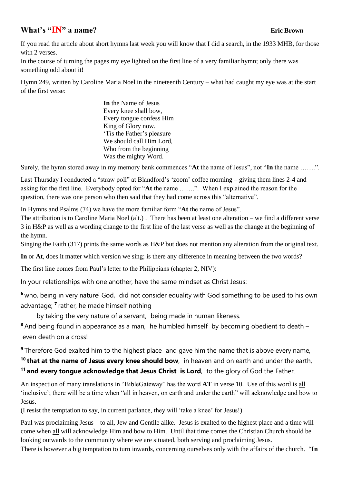## **What's "IN" a name? Eric Brown**

If you read the article about short hymns last week you will know that I did a search, in the 1933 MHB, for those with 2 verses.

In the course of turning the pages my eye lighted on the first line of a very familiar hymn; only there was something odd about it!

Hymn 249, written by Caroline Maria Noel in the nineteenth Century – what had caught my eye was at the start of the first verse:

> **In** the Name of Jesus Every knee shall bow, Every tongue confess Him King of Glory now. 'Tis the Father's pleasure We should call Him Lord, Who from the beginning Was the mighty Word.

Surely, the hymn stored away in my memory bank commences "**At** the name of Jesus", not "**In** the name …….".

Last Thursday I conducted a "straw poll" at Blandford's 'zoom' coffee morning – giving them lines 2-4 and asking for the first line. Everybody opted for "**At** the name …….". When I explained the reason for the question, there was one person who then said that they had come across this "alternative".

In Hymns and Psalms (74) we have the more familiar form "**At** the name of Jesus".

The attribution is to Caroline Maria Noel (alt.) . There has been at least one alteration – we find a different verse 3 in H&P as well as a wording change to the first line of the last verse as well as the change at the beginning of the hymn.

Singing the Faith (317) prints the same words as H&P but does not mention any alteration from the original text.

**In** or **At**, does it matter which version we sing; is there any difference in meaning between the two words?

The first line comes from Paul's letter to the Philippians (chapter 2, NIV):

In your relationships with one another, have the same mindset as Christ Jesus:

<sup>6</sup> who, being in very nature<sup>]</sup> God, did not consider equality with God something to be used to his own advantage; **<sup>7</sup>** rather, he made himself nothing

by taking the very nature of a servant, being made in human likeness.

**<sup>8</sup>** And being found in appearance as a man, he humbled himself by becoming obedient to death – even death on a cross!

**9** Therefore God exalted him to the highest place and gave him the name that is above every name,

**<sup>10</sup> that at the name of Jesus every knee should bow**, in heaven and on earth and under the earth, **<sup>11</sup> and every tongue acknowledge that Jesus Christ is Lord**, to the glory of God the Father.

An inspection of many translations in "BibleGateway" has the word **AT** in verse 10. Use of this word is all 'inclusive'; there will be a time when "all in heaven, on earth and under the earth" will acknowledge and bow to Jesus.

(I resist the temptation to say, in current parlance, they will 'take a knee' for Jesus!)

Paul was proclaiming Jesus – to all, Jew and Gentile alike. Jesus is exalted to the highest place and a time will come when all will acknowledge Him and bow to Him. Until that time comes the Christian Church should be looking outwards to the community where we are situated, both serving and proclaiming Jesus.

There is however a big temptation to turn inwards, concerning ourselves only with the affairs of the church. "**In**